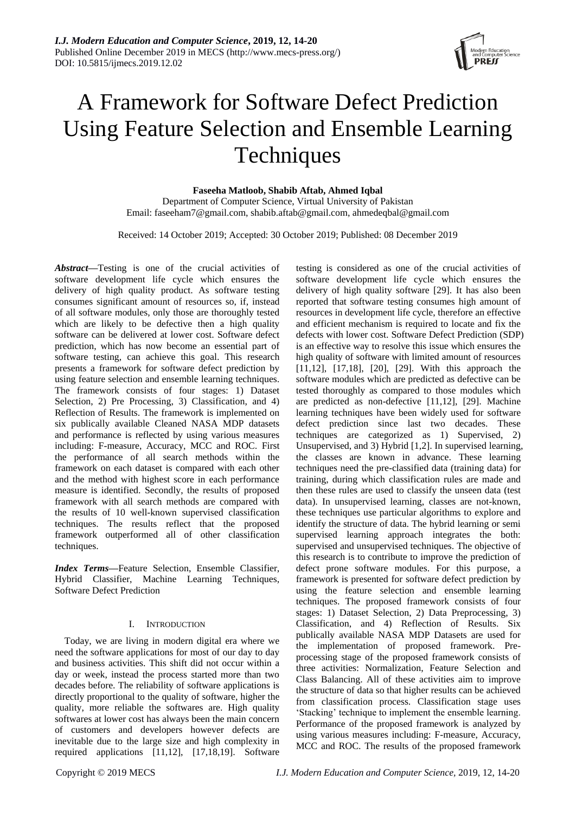

# A Framework for Software Defect Prediction Using Feature Selection and Ensemble Learning **Techniques**

**Faseeha Matloob, Shabib Aftab, Ahmed Iqbal**

Department of Computer Science, Virtual University of Pakistan Email: faseeham7@gmail.com, [shabib.aftab@gmail.com,](mailto:shabib.aftab@gmail.com) ahmedeqbal@gmail.com

Received: 14 October 2019; Accepted: 30 October 2019; Published: 08 December 2019

*Abstract***—**Testing is one of the crucial activities of software development life cycle which ensures the delivery of high quality product. As software testing consumes significant amount of resources so, if, instead of all software modules, only those are thoroughly tested which are likely to be defective then a high quality software can be delivered at lower cost. Software defect prediction, which has now become an essential part of software testing, can achieve this goal. This research presents a framework for software defect prediction by using feature selection and ensemble learning techniques. The framework consists of four stages: 1) Dataset Selection, 2) Pre Processing, 3) Classification, and 4) Reflection of Results. The framework is implemented on six publically available Cleaned NASA MDP datasets and performance is reflected by using various measures including: F-measure, Accuracy, MCC and ROC. First the performance of all search methods within the framework on each dataset is compared with each other and the method with highest score in each performance measure is identified. Secondly, the results of proposed framework with all search methods are compared with the results of 10 well-known supervised classification techniques. The results reflect that the proposed framework outperformed all of other classification techniques.

*Index Terms***—**Feature Selection, Ensemble Classifier, Hybrid Classifier, Machine Learning Techniques, Software Defect Prediction

# I. INTRODUCTION

Today, we are living in modern digital era where we need the software applications for most of our day to day and business activities. This shift did not occur within a day or week, instead the process started more than two decades before. The reliability of software applications is directly proportional to the quality of software, higher the quality, more reliable the softwares are. High quality softwares at lower cost has always been the main concern of customers and developers however defects are inevitable due to the large size and high complexity in required applications [11,12], [17,18,19]. Software

testing is considered as one of the crucial activities of software development life cycle which ensures the delivery of high quality software [29]. It has also been reported that software testing consumes high amount of resources in development life cycle, therefore an effective and efficient mechanism is required to locate and fix the defects with lower cost. Software Defect Prediction (SDP) is an effective way to resolve this issue which ensures the high quality of software with limited amount of resources [11,12], [17,18], [20], [29]. With this approach the software modules which are predicted as defective can be tested thoroughly as compared to those modules which are predicted as non-defective [11,12], [29]. Machine learning techniques have been widely used for software defect prediction since last two decades. These techniques are categorized as 1) Supervised, 2) Unsupervised, and 3) Hybrid [1,2]. In supervised learning, the classes are known in advance. These learning techniques need the pre-classified data (training data) for training, during which classification rules are made and then these rules are used to classify the unseen data (test data). In unsupervised learning, classes are not-known, these techniques use particular algorithms to explore and identify the structure of data. The hybrid learning or semi supervised learning approach integrates the both: supervised and unsupervised techniques. The objective of this research is to contribute to improve the prediction of defect prone software modules. For this purpose, a framework is presented for software defect prediction by using the feature selection and ensemble learning techniques. The proposed framework consists of four stages: 1) Dataset Selection, 2) Data Preprocessing, 3) Classification, and 4) Reflection of Results. Six publically available NASA MDP Datasets are used for the implementation of proposed framework. Preprocessing stage of the proposed framework consists of three activities: Normalization, Feature Selection and Class Balancing. All of these activities aim to improve the structure of data so that higher results can be achieved from classification process. Classification stage uses 'Stacking' technique to implement the ensemble learning. Performance of the proposed framework is analyzed by using various measures including: F-measure, Accuracy, MCC and ROC. The results of the proposed framework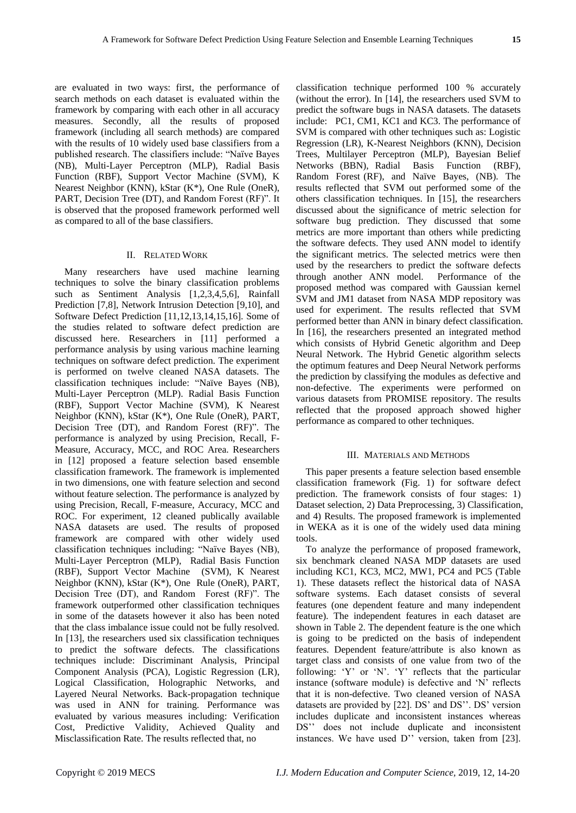are evaluated in two ways: first, the performance of search methods on each dataset is evaluated within the framework by comparing with each other in all accuracy measures. Secondly, all the results of proposed framework (including all search methods) are compared with the results of 10 widely used base classifiers from a published research. The classifiers include: "Naïve Bayes (NB), Multi-Layer Perceptron (MLP), Radial Basis Function (RBF), Support Vector Machine (SVM), K Nearest Neighbor (KNN), kStar (K\*), One Rule (OneR), PART, Decision Tree (DT), and Random Forest (RF)". It is observed that the proposed framework performed well as compared to all of the base classifiers.

#### II. RELATED WORK

Many researchers have used machine learning techniques to solve the binary classification problems such as Sentiment Analysis [1,2,3,4,5,6], Rainfall Prediction [7,8], Network Intrusion Detection [9,10], and Software Defect Prediction [11,12,13,14,15,16]. Some of the studies related to software defect prediction are discussed here. Researchers in [11] performed a performance analysis by using various machine learning techniques on software defect prediction. The experiment is performed on twelve cleaned NASA datasets. The classification techniques include: "Na ve Bayes (NB), Multi-Layer Perceptron (MLP). Radial Basis Function (RBF), Support Vector Machine (SVM), K Nearest Neighbor (KNN), kStar (K\*), One Rule (OneR), PART, Decision Tree (DT), and Random Forest (RF)". The performance is analyzed by using Precision, Recall, F-Measure, Accuracy, MCC, and ROC Area. Researchers in [12] proposed a feature selection based ensemble classification framework. The framework is implemented in two dimensions, one with feature selection and second without feature selection. The performance is analyzed by using Precision, Recall, F-measure, Accuracy, MCC and ROC. For experiment, 12 cleaned publically available NASA datasets are used. The results of proposed framework are compared with other widely used classification techniques including: "Naïve Bayes (NB), Multi-Layer Perceptron (MLP), Radial Basis Function (RBF), Support Vector Machine (SVM), K Nearest Neighbor (KNN), kStar (K\*), One Rule (OneR), PART, Decision Tree (DT), and Random Forest (RF)". The framework outperformed other classification techniques in some of the datasets however it also has been noted that the class imbalance issue could not be fully resolved. In [13], the researchers used six classification techniques to predict the software defects. The classifications techniques include: Discriminant Analysis, Principal Component Analysis (PCA), Logistic Regression (LR), Logical Classification, Holographic Networks, and Layered Neural Networks. Back-propagation technique was used in ANN for training. Performance was evaluated by various measures including: Verification Cost, Predictive Validity, Achieved Quality and Misclassification Rate. The results reflected that, no

classification technique performed 100 % accurately (without the error). In [14], the researchers used SVM to predict the software bugs in NASA datasets. The datasets include: PC1, CM1, KC1 and KC3. The performance of SVM is compared with other techniques such as: Logistic Regression (LR), K-Nearest Neighbors (KNN), Decision Trees, Multilayer Perceptron (MLP), Bayesian Belief Networks (BBN), Radial Basis Function (RBF), Random Forest (RF), and Naïve Bayes, (NB). The results reflected that SVM out performed some of the others classification techniques. In [15], the researchers discussed about the significance of metric selection for software bug prediction. They discussed that some metrics are more important than others while predicting the software defects. They used ANN model to identify the significant metrics. The selected metrics were then used by the researchers to predict the software defects through another ANN model. Performance of the through another ANN model. proposed method was compared with Gaussian kernel SVM and JM1 dataset from NASA MDP repository was used for experiment. The results reflected that SVM performed better than ANN in binary defect classification. In [16], the researchers presented an integrated method which consists of Hybrid Genetic algorithm and Deep Neural Network. The Hybrid Genetic algorithm selects the optimum features and Deep Neural Network performs the prediction by classifying the modules as defective and non-defective. The experiments were performed on various datasets from PROMISE repository. The results reflected that the proposed approach showed higher performance as compared to other techniques.

## III. MATERIALS AND METHODS

This paper presents a feature selection based ensemble classification framework (Fig. 1) for software defect prediction. The framework consists of four stages: 1) Dataset selection, 2) Data Preprocessing, 3) Classification, and 4) Results. The proposed framework is implemented in WEKA as it is one of the widely used data mining tools.

To analyze the performance of proposed framework, six benchmark cleaned NASA MDP datasets are used including KC1, KC3, MC2, MW1, PC4 and PC5 (Table 1). These datasets reflect the historical data of NASA software systems. Each dataset consists of several features (one dependent feature and many independent feature). The independent features in each dataset are shown in Table 2. The dependent feature is the one which is going to be predicted on the basis of independent features. Dependent feature/attribute is also known as target class and consists of one value from two of the following: 'Y' or 'N'. 'Y' reflects that the particular instance (software module) is defective and 'N' reflects that it is non-defective. Two cleaned version of NASA datasets are provided by [22]. DS' and DS''. DS' version includes duplicate and inconsistent instances whereas DS'' does not include duplicate and inconsistent instances. We have used D'' version, taken from [23].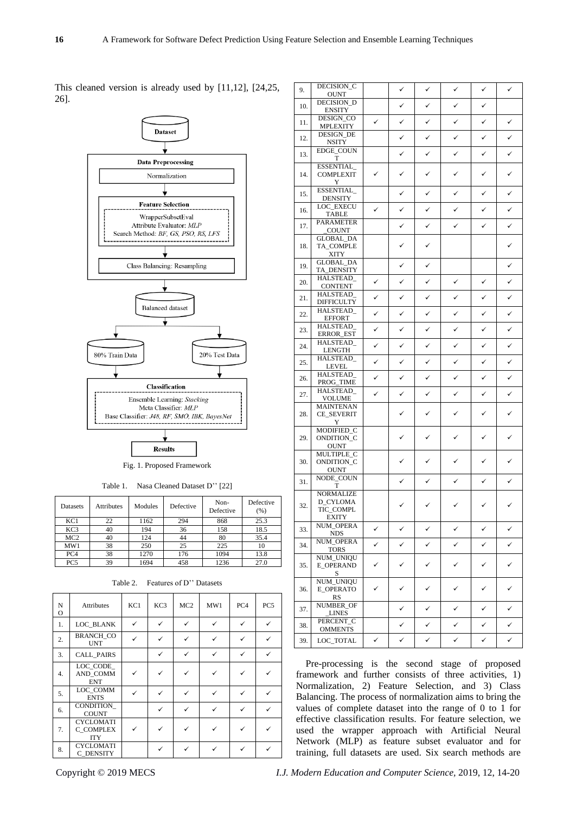This cleaned version is already used by [11,12], [24,25, 26].



**Results** 

Fig. 1. Proposed Framework

Table 1. Nasa Cleaned Dataset D'' [22]

| Datasets        | <b>Attributes</b> | Modules | Defective | Non-<br>Defective | Defective<br>(%) |
|-----------------|-------------------|---------|-----------|-------------------|------------------|
| KC1             | 22                | 1162    | 294       | 868               | 25.3             |
| KC <sub>3</sub> | 40                | 194     | 36        | 158               | 18.5             |
| MC2             | 40                | 124     | 44        | 80                | 35.4             |
| MW1             | 38                | 250     | 25        | 225               | 10               |
| PC4             | 38                | 1270    | 176       | 1094              | 13.8             |
| PC5             | 39                | 1694    | 458       | 1236              | 27.0             |

| N<br>$\Omega$    | Attributes                                  | KC1          | KC3          | MC <sub>2</sub> | MW1 | PC <sub>4</sub> | PC <sub>5</sub> |
|------------------|---------------------------------------------|--------------|--------------|-----------------|-----|-----------------|-----------------|
| 1.               | LOC BLANK                                   | $\checkmark$ | ✓            | ✓               | ✓   | ✓               | ✓               |
| $\overline{2}$ . | <b>BRANCH CO</b><br><b>UNT</b>              | ✓            | $\checkmark$ | ✓               | ✓   | ✓               | ✓               |
| 3.               | <b>CALL PAIRS</b>                           |              | $\checkmark$ | ✓               |     | ✓               |                 |
| 4.               | LOC CODE<br>AND COMM<br><b>ENT</b>          |              |              |                 |     |                 |                 |
| 5.               | LOC COMM<br><b>ENTS</b>                     | ✓            | $\checkmark$ |                 |     | ✓               |                 |
| 6.               | CONDITION<br><b>COUNT</b>                   |              | $\checkmark$ |                 | ✓   | ✓               |                 |
| 7.               | <b>CYCLOMATI</b><br>C COMPLEX<br><b>ITY</b> |              |              |                 |     |                 |                 |
| 8.               | <b>CYCLOMATI</b><br>C DENSITY               |              | ✓            |                 | ✓   |                 |                 |

Table 2. Features of D'' Datasets

| 9.  | DECISION_C                                                |   | ✓ | $\checkmark$ | ✓ | ✓ | ✓            |
|-----|-----------------------------------------------------------|---|---|--------------|---|---|--------------|
| 10. | <b>OUNT</b><br>DECISION_D                                 |   | ✓ | ✓            | ✓ | ✓ |              |
| 11. | <b>ENSITY</b><br>DESIGN CO                                | ✓ | ✓ | ✓            | ✓ | ✓ | ✓            |
|     | <b>MPLEXITY</b><br>DESIGN_DE                              |   | ✓ | ✓            | ✓ | ✓ | ✓            |
| 12. | <b>NSITY</b><br>EDGE_COUN                                 |   |   |              |   |   |              |
| 13. | T                                                         |   | ✓ | ✓            | ✓ | ✓ | ✓            |
| 14. | ESSENTIAL<br><b>COMPLEXIT</b><br>Y                        | ✓ | ✓ | ✓            |   | ✓ |              |
| 15. | ESSENTIAL<br><b>DENSITY</b>                               |   | ✓ | ✓            | ✓ | ✓ | ✓            |
| 16. | LOC_EXECU<br>TABLE                                        | ✓ | ✓ | ✓            |   | ✓ |              |
| 17. | <b>PARAMETER</b><br>_COUNT                                |   | ✓ | ✓            | ✓ | ✓ | ✓            |
| 18. | <b>GLOBAL_DA</b><br>TA_COMPLE<br>XITY                     |   | ✓ | ✓            |   |   |              |
| 19. | GLOBAL_DA<br>TA_DENSITY                                   |   | ✓ | ✓            |   |   | ✓            |
| 20. | HALSTEAD_<br><b>CONTENT</b>                               | ✓ | ✓ | ✓            | ✓ | ✓ | ✓            |
| 21. | HALSTEAD_<br><b>DIFFICULTY</b>                            | ✓ | ✓ | ✓            | ✓ | ✓ | ✓            |
| 22. | HALSTEAD_<br><b>EFFORT</b>                                | ✓ | ✓ | ✓            | ✓ | ✓ | ✓            |
| 23. | HALSTEAD_<br>ERROR_EST                                    | ✓ | ✓ | ✓            | ✓ | ✓ | ✓            |
| 24. | HALSTEAD_<br>LENGTH                                       | ✓ | ✓ | ✓            | ✓ | ✓ | ✓            |
| 25. | HALSTEAD_<br>LEVEL                                        | ✓ | ✓ | ✓            | ✓ | ✓ | ✓            |
| 26. | HALSTEAD<br>PROG_TIME                                     | ✓ | ✓ | ✓            | ✓ | ✓ | ✓            |
| 27. | HALSTEAD_<br><b>VOLUME</b>                                | ✓ | ✓ | ✓            | ✓ | ✓ | ✓            |
| 28. | <b>MAINTENAN</b><br><b>CE_SEVERIT</b><br>Y                |   | ✓ | ✓            | ✓ | ✓ |              |
| 29. | MODIFIED_C<br>ONDITION_C<br><b>OUNT</b>                   |   | ✓ | ✓            | ✓ | ✓ |              |
| 30. | MULTIPLE_C<br>ONDITION C<br>OUNT                          |   |   |              |   |   |              |
| 31. | NODE_COUN<br>т                                            |   | ✓ | ✓            | ✓ | ✓ | ✓            |
| 32. | <b>NORMALIZE</b><br><b>D_CYLOMA</b><br>TIC_COMPL<br>EXITY |   | ✓ | ✓            | ✓ | ✓ | $\checkmark$ |
| 33. | NUM_OPERA<br><b>NDS</b>                                   | ✓ | ✓ | ✓            | ✓ | ✓ | ✓            |
| 34. | NUM_OPERA<br><b>TORS</b>                                  | ✓ | ✓ | ✓            | ✓ | ✓ | ✓            |
| 35. | NUM_UNIQU<br><b>E_OPERAND</b><br>S                        | ✓ | ✓ | ✓            | ✓ | ✓ |              |
| 36. | NUM_UNIQU<br><b>E_OPERATO</b><br>RS                       |   | ✓ | ✓            | ✓ | ✓ |              |
| 37. | NUMBER_OF<br><b>LINES</b>                                 |   | ✓ | ✓            | ✓ | ✓ | ✓            |
| 38. | PERCENT_C<br><b>OMMENTS</b>                               |   | ✓ | ✓            | ✓ | ✓ | ✓            |
| 39. | LOC_TOTAL                                                 | ✓ | ✓ | ✓            | ✓ | ✓ | ✓            |

Pre-processing is the second stage of proposed framework and further consists of three activities, 1) Normalization, 2) Feature Selection, and 3) Class Balancing. The process of normalization aims to bring the values of complete dataset into the range of 0 to 1 for effective classification results. For feature selection, we used the wrapper approach with Artificial Neural Network (MLP) as feature subset evaluator and for training, full datasets are used. Six search methods are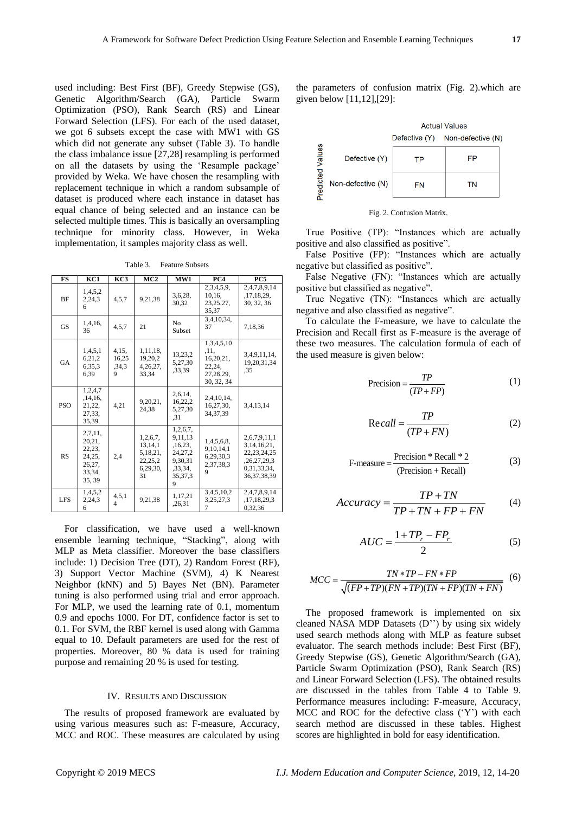used including: Best First (BF), Greedy Stepwise (GS), Genetic Algorithm/Search (GA), Particle Swarm Optimization (PSO), Rank Search (RS) and Linear Forward Selection (LFS). For each of the used dataset, we got 6 subsets except the case with MW1 with GS which did not generate any subset (Table 3). To handle the class imbalance issue [27,28] resampling is performed on all the datasets by using the 'Resample package' provided by Weka. We have chosen the resampling with replacement technique in which a random subsample of dataset is produced where each instance in dataset has equal chance of being selected and an instance can be selected multiple times. This is basically an oversampling technique for minority class. However, in Weka implementation, it samples majority class as well.

Table 3. Feature Subsets

| <b>FS</b>  | KC1                                                                 | KC3                          | MC <sub>2</sub>                                              | MW1                                                                             | PC4                                                                    | PC5                                                                                              |
|------------|---------------------------------------------------------------------|------------------------------|--------------------------------------------------------------|---------------------------------------------------------------------------------|------------------------------------------------------------------------|--------------------------------------------------------------------------------------------------|
| <b>BF</b>  | 1,4,5,2<br>2,24,3<br>6                                              | 4, 5, 7                      | 9,21,38                                                      | 3,6,28,<br>30.32                                                                | 2,3,4,5,9,<br>10,16,<br>23, 25, 27,<br>35,37                           | 2,4,7,8,9,14<br>, 17, 18, 29,<br>30, 32, 36                                                      |
| <b>GS</b>  | 1,4,16,<br>36                                                       | 4,5,7                        | 21                                                           | N <sub>0</sub><br>Subset                                                        | 3,4,10,34,<br>37                                                       | 7,18,36                                                                                          |
| <b>GA</b>  | 1,4,5,1<br>6,21,2<br>6,35,3<br>6.39                                 | 4,15,<br>16,25<br>,34,3<br>9 | 1,11,18,<br>19,20,2<br>4,26,27,<br>33.34                     | 13,23,2<br>5,27,30<br>.33,39                                                    | 1,3,4,5,10<br>.11.<br>16,20,21,<br>22,24,<br>27, 28, 29,<br>30, 32, 34 | 3,4,9,11,14,<br>19,20,31,34<br>.35                                                               |
| <b>PSO</b> | 1,2,4,7<br>, 14, 16,<br>21,22,<br>27,33,<br>35,39                   | 4,21                         | 9,20,21,<br>24,38                                            | 2,6,14,<br>16,22,2<br>5,27,30<br>.31                                            | 2,4,10,14,<br>16,27,30,<br>34, 37, 39                                  | 3,4,13,14                                                                                        |
| <b>RS</b>  | 2,7,11,<br>20,21,<br>22,23,<br>24,25,<br>26,27,<br>33,34,<br>35, 39 | 2,4                          | 1,2,6,7,<br>13,14,1<br>5,18,21,<br>22,25,2<br>6,29,30,<br>31 | 1,2,6,7,<br>9,11,13<br>,16,23,<br>24,27,2<br>9,30,31<br>.33.34.<br>35,37,3<br>9 | 1,4,5,6,8,<br>9,10,14,1<br>6,29,30,3<br>2,37,38,3<br>9                 | 2,6,7,9,11,1<br>3, 14, 16, 21,<br>22, 23, 24, 25<br>,26,27,29,3<br>0.31.33.34.<br>36, 37, 38, 39 |
| <b>LFS</b> | 1,4,5,2<br>2,24,3<br>6                                              | 4, 5, 1<br>4                 | 9,21,38                                                      | 1,17,21<br>,26,31                                                               | 3,4,5,10,2<br>3,25,27,3                                                | 2,4,7,8,9,14<br>,17,18,29,3<br>0,32,36                                                           |

For classification, we have used a well-known ensemble learning technique, "Stacking", along with MLP as Meta classifier. Moreover the base classifiers include: 1) Decision Tree (DT), 2) Random Forest (RF), 3) Support Vector Machine (SVM), 4) K Nearest Neighbor (kNN) and 5) Bayes Net (BN). Parameter tuning is also performed using trial and error approach. For MLP, we used the learning rate of 0.1, momentum 0.9 and epochs 1000. For DT, confidence factor is set to 0.1. For SVM, the RBF kernel is used along with Gamma equal to 10. Default parameters are used for the rest of properties. Moreover, 80 % data is used for training purpose and remaining 20 % is used for testing.

## IV. RESULTS AND DISCUSSION

The results of proposed framework are evaluated by using various measures such as: F-measure, Accuracy, MCC and ROC. These measures are calculated by using the parameters of confusion matrix (Fig. 2).which are given below [11,12],[29]:



Fig. 2. Confusion Matrix.

True Positive (TP): "Instances which are actually positive and also classified as positive".

False Positive (FP): "Instances which are actually negative but classified as positive".

False Negative (FN): "Instances which are actually positive but classified as negative".

True Negative (TN): "Instances which are actually negative and also classified as negative".

To calculate the F-measure, we have to calculate the Precision and Recall first as F-measure is the average of these two measures. The calculation formula of each of the used measure is given below:

$$
Precision = \frac{TP}{(TP + FP)}
$$
 (1)

$$
Re\,call = \frac{TP}{(TP + FN)}
$$
 (2)

$$
F-measure = \frac{Precision * Recall * 2}{(Precision + Recall)}
$$
(3)

$$
Accuracy = \frac{TP + TN}{TP + TN + FP + FN}
$$
 (4)

$$
AUC = \frac{1 + TP_r - FP_r}{2} \tag{5}
$$

$$
MCC = \frac{TN * TP - FN * FP}{\sqrt{(FP + TP)(FN + TP)(TN + FP)(TN + FN)}}
$$
(6)

The proposed framework is implemented on six cleaned NASA MDP Datasets (D'') by using six widely used search methods along with MLP as feature subset evaluator. The search methods include: Best First (BF), Greedy Stepwise (GS), Genetic Algorithm/Search (GA), Particle Swarm Optimization (PSO), Rank Search (RS) and Linear Forward Selection (LFS). The obtained results are discussed in the tables from Table 4 to Table 9. Performance measures including: F-measure, Accuracy, MCC and ROC for the defective class ('Y') with each search method are discussed in these tables. Highest scores are highlighted in bold for easy identification.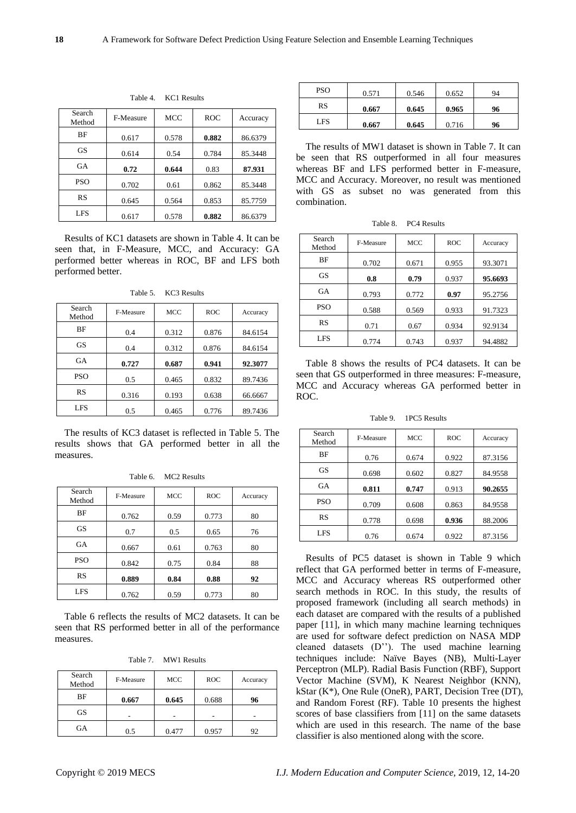| Search<br>Method | F-Measure | MCC   | <b>ROC</b> | Accuracy |
|------------------|-----------|-------|------------|----------|
| BF               | 0.617     | 0.578 | 0.882      | 86.6379  |
| <b>GS</b>        | 0.614     | 0.54  | 0.784      | 85.3448  |
| GA               | 0.72      | 0.644 | 0.83       | 87.931   |
| <b>PSO</b>       | 0.702     | 0.61  | 0.862      | 85.3448  |
| <b>RS</b>        | 0.645     | 0.564 | 0.853      | 85.7759  |
| <b>LFS</b>       | 0.617     | 0.578 | 0.882      | 86.6379  |

Table 4. KC1 Results

Results of KC1 datasets are shown in Table 4. It can be seen that, in F-Measure, MCC, and Accuracy: GA performed better whereas in ROC, BF and LFS both performed better.

| Search<br>Method | F-Measure | <b>MCC</b> | <b>ROC</b> | Accuracy |
|------------------|-----------|------------|------------|----------|
| BF               | 0.4       | 0.312      | 0.876      | 84.6154  |
| <b>GS</b>        | 0.4       | 0.312      | 0.876      | 84.6154  |
| GA               | 0.727     | 0.687      | 0.941      | 92.3077  |
| <b>PSO</b>       | 0.5       | 0.465      | 0.832      | 89.7436  |
| RS               | 0.316     | 0.193      | 0.638      | 66.6667  |
| <b>LFS</b>       | 0.5       | 0.465      | 0.776      | 89.7436  |

Table 5. KC3 Results

The results of KC3 dataset is reflected in Table 5. The results shows that GA performed better in all the measures.

| Search<br>Method | F-Measure | <b>MCC</b> | <b>ROC</b> | Accuracy |
|------------------|-----------|------------|------------|----------|
| BF               | 0.762     | 0.59       | 0.773      | 80       |
| <b>GS</b>        | 0.7       | 0.5        | 0.65       | 76       |
| <b>GA</b>        | 0.667     | 0.61       | 0.763      | 80       |
| <b>PSO</b>       | 0.842     | 0.75       | 0.84       | 88       |
| <b>RS</b>        | 0.889     | 0.84       | 0.88       | 92       |
| <b>LFS</b>       | 0.762     | 0.59       | 0.773      | 80       |

Table 6. MC2 Results

Table 6 reflects the results of MC2 datasets. It can be seen that RS performed better in all of the performance measures.

|  | Table 7. | <b>MW1 Results</b> |
|--|----------|--------------------|
|--|----------|--------------------|

| Search<br>Method | F-Measure | <b>MCC</b> | <b>ROC</b> | Accuracy |
|------------------|-----------|------------|------------|----------|
| ΒF               | 0.667     | 0.645      | 0.688      | 96       |
| <b>GS</b>        |           |            |            |          |
| GA               | 0.5       | 0.477      | 0.957      |          |

| <b>PSO</b> | 0.571 | 0.546 | 0.652 | 94 |
|------------|-------|-------|-------|----|
| RS         | 0.667 | 0.645 | 0.965 | 96 |
| <b>LFS</b> | 0.667 | 0.645 | 0.716 | 96 |

The results of MW1 dataset is shown in Table 7. It can be seen that RS outperformed in all four measures whereas BF and LFS performed better in F-measure, MCC and Accuracy. Moreover, no result was mentioned with GS as subset no was generated from this combination.

| Search<br>Method | F-Measure | MCC   | <b>ROC</b> | Accuracy |
|------------------|-----------|-------|------------|----------|
| BF               | 0.702     | 0.671 | 0.955      | 93.3071  |
| GS               | 0.8       | 0.79  | 0.937      | 95.6693  |
| <b>GA</b>        | 0.793     | 0.772 | 0.97       | 95.2756  |
| <b>PSO</b>       | 0.588     | 0.569 | 0.933      | 91.7323  |
| RS               | 0.71      | 0.67  | 0.934      | 92.9134  |
| <b>LFS</b>       | 0.774     | 0.743 | 0.937      | 94.4882  |

Table 8 shows the results of PC4 datasets. It can be seen that GS outperformed in three measures: F-measure, MCC and Accuracy whereas GA performed better in ROC.

Table 9. 1PC5 Results

| Search<br>Method | F-Measure | <b>MCC</b> | <b>ROC</b> | Accuracy |
|------------------|-----------|------------|------------|----------|
| <b>BF</b>        | 0.76      | 0.674      | 0.922      | 87.3156  |
| GS               | 0.698     | 0.602      | 0.827      | 84.9558  |
| GA               | 0.811     | 0.747      | 0.913      | 90.2655  |
| <b>PSO</b>       | 0.709     | 0.608      | 0.863      | 84.9558  |
| RS               | 0.778     | 0.698      | 0.936      | 88.2006  |
| <b>LFS</b>       | 0.76      | 0.674      | 0.922      | 87.3156  |

Results of PC5 dataset is shown in Table 9 which reflect that GA performed better in terms of F-measure, MCC and Accuracy whereas RS outperformed other search methods in ROC. In this study, the results of proposed framework (including all search methods) in each dataset are compared with the results of a published paper [11], in which many machine learning techniques are used for software defect prediction on NASA MDP cleaned datasets (D''). The used machine learning techniques include: Naïve Bayes (NB), Multi-Layer Perceptron (MLP). Radial Basis Function (RBF), Support Vector Machine (SVM), K Nearest Neighbor (KNN), kStar (K\*), One Rule (OneR), PART, Decision Tree (DT), and Random Forest (RF). Table 10 presents the highest scores of base classifiers from [11] on the same datasets which are used in this research. The name of the base classifier is also mentioned along with the score.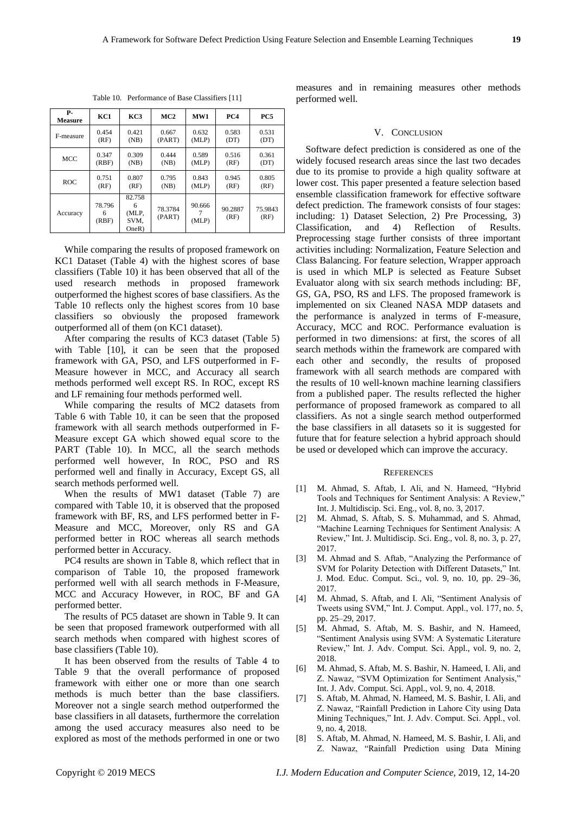| <b>P-</b><br>Measure | KC1                  | KC3                                   | MC2               | WW1             | PC4             | PC5             |
|----------------------|----------------------|---------------------------------------|-------------------|-----------------|-----------------|-----------------|
| F-measure            | 0.454                | 0.421                                 | 0.667             | 0.632           | 0.583           | 0.531           |
|                      | (RF)                 | (NB)                                  | (PART)            | (MLP)           | (DT)            | (DT)            |
| <b>MCC</b>           | 0.347                | 0.309                                 | 0.444             | 0.589           | 0.516           | 0.361           |
|                      | (RBF)                | (NB)                                  | (NB)              | (MLP)           | (RF)            | (DT)            |
| <b>ROC</b>           | 0.751                | 0.807                                 | 0.795             | 0.843           | 0.945           | 0.805           |
|                      | (RF)                 | (RF)                                  | (NB)              | (MLP)           | (RF)            | (RF)            |
| Accuracy             | 78.796<br>6<br>(RBF) | 82.758<br>6<br>(MLP,<br>SVM,<br>OneR) | 78.3784<br>(PART) | 90.666<br>(MLP) | 90.2887<br>(RF) | 75.9843<br>(RF) |

Table 10. Performance of Base Classifiers [11]

While comparing the results of proposed framework on KC1 Dataset (Table 4) with the highest scores of base classifiers (Table 10) it has been observed that all of the used research methods in proposed framework outperformed the highest scores of base classifiers. As the Table 10 reflects only the highest scores from 10 base classifiers so obviously the proposed framework outperformed all of them (on KC1 dataset).

After comparing the results of KC3 dataset (Table 5) with Table [10], it can be seen that the proposed framework with GA, PSO, and LFS outperformed in F-Measure however in MCC, and Accuracy all search methods performed well except RS. In ROC, except RS and LF remaining four methods performed well.

While comparing the results of MC2 datasets from Table 6 with Table 10, it can be seen that the proposed framework with all search methods outperformed in F-Measure except GA which showed equal score to the PART (Table 10). In MCC, all the search methods performed well however, In ROC, PSO and RS performed well and finally in Accuracy, Except GS, all search methods performed well.

When the results of MW1 dataset (Table 7) are compared with Table 10, it is observed that the proposed framework with BF, RS, and LFS performed better in F-Measure and MCC, Moreover, only RS and GA performed better in ROC whereas all search methods performed better in Accuracy.

PC4 results are shown in Table 8, which reflect that in comparison of Table 10, the proposed framework performed well with all search methods in F-Measure, MCC and Accuracy However, in ROC, BF and GA performed better.

The results of PC5 dataset are shown in Table 9. It can be seen that proposed framework outperformed with all search methods when compared with highest scores of base classifiers (Table 10).

It has been observed from the results of Table 4 to Table 9 that the overall performance of proposed framework with either one or more than one search methods is much better than the base classifiers. Moreover not a single search method outperformed the base classifiers in all datasets, furthermore the correlation among the used accuracy measures also need to be explored as most of the methods performed in one or two

measures and in remaining measures other methods performed well.

#### V. CONCLUSION

Software defect prediction is considered as one of the widely focused research areas since the last two decades due to its promise to provide a high quality software at lower cost. This paper presented a feature selection based ensemble classification framework for effective software defect prediction. The framework consists of four stages: including: 1) Dataset Selection, 2) Pre Processing, 3) Classification, and 4) Reflection of Results. Preprocessing stage further consists of three important activities including: Normalization, Feature Selection and Class Balancing. For feature selection, Wrapper approach is used in which MLP is selected as Feature Subset Evaluator along with six search methods including: BF, GS, GA, PSO, RS and LFS. The proposed framework is implemented on six Cleaned NASA MDP datasets and the performance is analyzed in terms of F-measure, Accuracy, MCC and ROC. Performance evaluation is performed in two dimensions: at first, the scores of all search methods within the framework are compared with each other and secondly, the results of proposed framework with all search methods are compared with the results of 10 well-known machine learning classifiers from a published paper. The results reflected the higher performance of proposed framework as compared to all classifiers. As not a single search method outperformed the base classifiers in all datasets so it is suggested for future that for feature selection a hybrid approach should be used or developed which can improve the accuracy.

### **REFERENCES**

- [1] M. Ahmad, S. Aftab, I. Ali, and N. Hameed, "Hybrid Tools and Techniques for Sentiment Analysis: A Review," Int. J. Multidiscip. Sci. Eng., vol. 8, no. 3, 2017.
- [2] M. Ahmad, S. Aftab, S. S. Muhammad, and S. Ahmad, "Machine Learning Techniques for Sentiment Analysis: A Review," Int. J. Multidiscip. Sci. Eng., vol. 8, no. 3, p. 27, 2017.
- [3] M. Ahmad and S. Aftab, "Analyzing the Performance of SVM for Polarity Detection with Different Datasets," Int. J. Mod. Educ. Comput. Sci., vol. 9, no. 10, pp. 29–36, 2017.
- [4] M. Ahmad, S. Aftab, and I. Ali, "Sentiment Analysis of Tweets using SVM," Int. J. Comput. Appl., vol. 177, no. 5, pp. 25–29, 2017.
- [5] M. Ahmad, S. Aftab, M. S. Bashir, and N. Hameed, "Sentiment Analysis using SVM: A Systematic Literature Review," Int. J. Adv. Comput. Sci. Appl., vol. 9, no. 2, 2018.
- [6] M. Ahmad, S. Aftab, M. S. Bashir, N. Hameed, I. Ali, and Z. Nawaz, "SVM Optimization for Sentiment Analysis," Int. J. Adv. Comput. Sci. Appl., vol. 9, no. 4, 2018.
- [7] S. Aftab, M. Ahmad, N. Hameed, M. S. Bashir, I. Ali, and Z. Nawaz, "Rainfall Prediction in Lahore City using Data Mining Techniques," Int. J. Adv. Comput. Sci. Appl., vol. 9, no. 4, 2018.
- [8] S. Aftab, M. Ahmad, N. Hameed, M. S. Bashir, I. Ali, and Z. Nawaz, "Rainfall Prediction using Data Mining